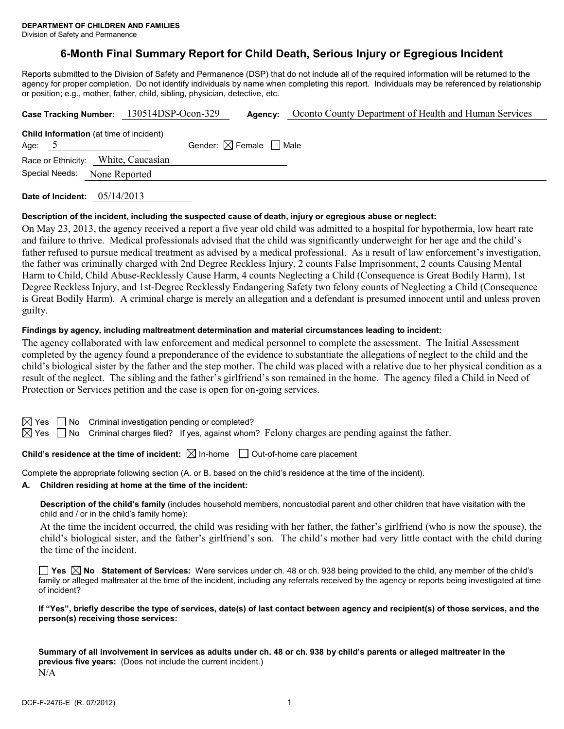Division of Safety and Permanence

# **6-Month Final Summary Report for Child Death, Serious Injury or Egregious Incident**

Reports submitted to the Division of Safety and Permanence (DSP) that do not include all of the required information will be returned to the agency for proper completion. Do not identify individuals by name when completing this report. Individuals may be referenced by relationship or position; e.g., mother, father, child, sibling, physician, detective, etc.

|                                                            | Case Tracking Number: 130514DSP-Ocon-329 | Agency:                                | Oconto County Department of Health and Human Services |
|------------------------------------------------------------|------------------------------------------|----------------------------------------|-------------------------------------------------------|
| <b>Child Information</b> (at time of incident)<br>Age: $5$ |                                          | Gender: $\boxtimes$ Female $\Box$ Male |                                                       |
| Race or Ethnicity: White, Caucasian                        |                                          |                                        |                                                       |
| Special Needs:<br>None Reported                            |                                          |                                        |                                                       |
|                                                            |                                          |                                        |                                                       |

**Date of Incident:** 05/14/2013

#### **Description of the incident, including the suspected cause of death, injury or egregious abuse or neglect:**

On May 23, 2013, the agency received a report a five year old child was admitted to a hospital for hypothermia, low heart rate and failure to thrive. Medical professionals advised that the child was significantly underweight for her age and the child's father refused to pursue medical treatment as advised by a medical professional. As a result of law enforcement's investigation, the father was criminally charged with 2nd Degree Reckless Injury, 2 counts False Imprisonment, 2 counts Causing Mental Harm to Child, Child Abuse-Recklessly Cause Harm, 4 counts Neglecting a Child (Consequence is Great Bodily Harm), 1st Degree Reckless Injury, and 1st-Degree Recklessly Endangering Safety two felony counts of Neglecting a Child (Consequence is Great Bodily Harm). A criminal charge is merely an allegation and a defendant is presumed innocent until and unless proven guilty.

#### **Findings by agency, including maltreatment determination and material circumstances leading to incident:**

The agency collaborated with law enforcement and medical personnel to complete the assessment. The Initial Assessment completed by the agency found a preponderance of the evidence to substantiate the allegations of neglect to the child and the child's biological sister by the father and the step mother. The child was placed with a relative due to her physical condition as a result of the neglect. The sibling and the father's girlfriend's son remained in the home. The agency filed a Child in Need of Protection or Services petition and the case is open for on-going services.

 $\Box$  No Criminal investigation pending or completed?

 $\boxtimes$  Yes  $\Box$  No Criminal charges filed? If yes, against whom? Felony charges are pending against the father.

## **Child's residence at the time of incident:**  $\boxtimes$  In-home  $\Box$  Out-of-home care placement

Complete the appropriate following section (A. or B. based on the child's residence at the time of the incident).

**A. Children residing at home at the time of the incident:**

**Description of the child's family** (includes household members, noncustodial parent and other children that have visitation with the child and / or in the child's family home):

At the time the incident occurred, the child was residing with her father, the father's girlfriend (who is now the spouse), the child's biological sister, and the father's girlfriend's son. The child's mother had very little contact with the child during the time of the incident.

**Yes No Statement of Services:** Were services under ch. 48 or ch. 938 being provided to the child, any member of the child's family or alleged maltreater at the time of the incident, including any referrals received by the agency or reports being investigated at time of incident?

**If "Yes", briefly describe the type of services, date(s) of last contact between agency and recipient(s) of those services, and the person(s) receiving those services:**

**Summary of all involvement in services as adults under ch. 48 or ch. 938 by child's parents or alleged maltreater in the previous five years:** (Does not include the current incident.) N/A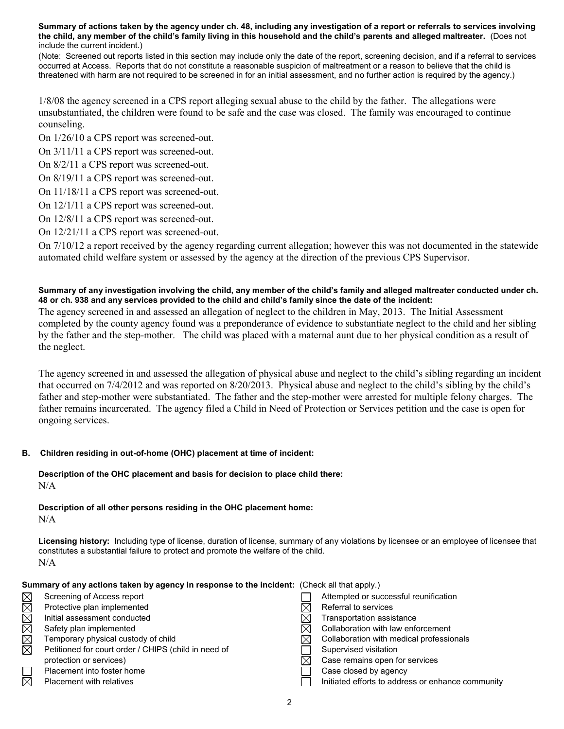**Summary of actions taken by the agency under ch. 48, including any investigation of a report or referrals to services involving the child, any member of the child's family living in this household and the child's parents and alleged maltreater.** (Does not include the current incident.)

(Note: Screened out reports listed in this section may include only the date of the report, screening decision, and if a referral to services occurred at Access. Reports that do not constitute a reasonable suspicion of maltreatment or a reason to believe that the child is threatened with harm are not required to be screened in for an initial assessment, and no further action is required by the agency.)

1/8/08 the agency screened in a CPS report alleging sexual abuse to the child by the father. The allegations were unsubstantiated, the children were found to be safe and the case was closed. The family was encouraged to continue counseling.

On 1/26/10 a CPS report was screened-out.

On 3/11/11 a CPS report was screened-out.

On 8/2/11 a CPS report was screened-out.

On 8/19/11 a CPS report was screened-out.

On 11/18/11 a CPS report was screened-out.

On 12/1/11 a CPS report was screened-out.

On 12/8/11 a CPS report was screened-out.

On 12/21/11 a CPS report was screened-out.

On 7/10/12 a report received by the agency regarding current allegation; however this was not documented in the statewide automated child welfare system or assessed by the agency at the direction of the previous CPS Supervisor.

#### **Summary of any investigation involving the child, any member of the child's family and alleged maltreater conducted under ch. 48 or ch. 938 and any services provided to the child and child's family since the date of the incident:**

The agency screened in and assessed an allegation of neglect to the children in May, 2013. The Initial Assessment completed by the county agency found was a preponderance of evidence to substantiate neglect to the child and her sibling by the father and the step-mother. The child was placed with a maternal aunt due to her physical condition as a result of the neglect.

The agency screened in and assessed the allegation of physical abuse and neglect to the child's sibling regarding an incident that occurred on 7/4/2012 and was reported on 8/20/2013. Physical abuse and neglect to the child's sibling by the child's father and step-mother were substantiated. The father and the step-mother were arrested for multiple felony charges. The father remains incarcerated. The agency filed a Child in Need of Protection or Services petition and the case is open for ongoing services.

# **B. Children residing in out-of-home (OHC) placement at time of incident:**

# **Description of the OHC placement and basis for decision to place child there:** N/A

**Description of all other persons residing in the OHC placement home:** N/A

**Licensing history:** Including type of license, duration of license, summary of any violations by licensee or an employee of licensee that constitutes a substantial failure to protect and promote the welfare of the child. N/A

| Summary of any actions taken by agency in response to the incident: (Check all that apply.) |                                                      |  |                                                   |
|---------------------------------------------------------------------------------------------|------------------------------------------------------|--|---------------------------------------------------|
| $\boxtimes$                                                                                 | Screening of Access report                           |  | Attempted or successful reunification             |
| $\boxtimes$                                                                                 | Protective plan implemented                          |  | Referral to services                              |
| $\boxtimes$                                                                                 | Initial assessment conducted                         |  | Transportation assistance                         |
| $\boxtimes$                                                                                 | Safety plan implemented                              |  | Collaboration with law enforcement                |
| $\boxtimes$                                                                                 | Temporary physical custody of child                  |  | Collaboration with medical professionals          |
| $\boxtimes$                                                                                 | Petitioned for court order / CHIPS (child in need of |  | Supervised visitation                             |
|                                                                                             | protection or services)                              |  | Case remains open for services                    |
|                                                                                             | Placement into foster home                           |  | Case closed by agency                             |
| $\boxtimes$                                                                                 | <b>Placement with relatives</b>                      |  | Initiated efforts to address or enhance community |